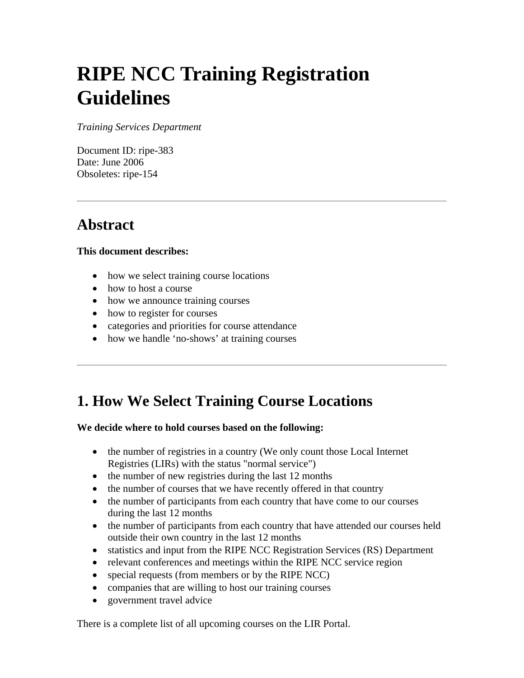# **RIPE NCC Training Registration Guidelines**

*Training Services Department* 

Document ID: ripe-383 Date: June 2006 Obsoletes: ripe-154

#### **Abstract**

#### **This document describes:**

- how we select training course locations
- how to host a course
- how we announce training courses
- how to register for courses
- categories and priorities for course attendance
- how we handle 'no-shows' at training courses

#### **1. How We Select Training Course Locations**

#### **We decide where to hold courses based on the following:**

- the number of registries in a country (We only count those Local Internet Registries (LIRs) with the status "normal service")
- the number of new registries during the last 12 months
- the number of courses that we have recently offered in that country
- the number of participants from each country that have come to our courses during the last 12 months
- the number of participants from each country that have attended our courses held outside their own country in the last 12 months
- statistics and input from the RIPE NCC Registration Services (RS) Department
- relevant conferences and meetings within the RIPE NCC service region
- special requests (from members or by the RIPE NCC)
- companies that are willing to host our training courses
- government travel advice

There is a complete list of all upcoming courses on the LIR Portal.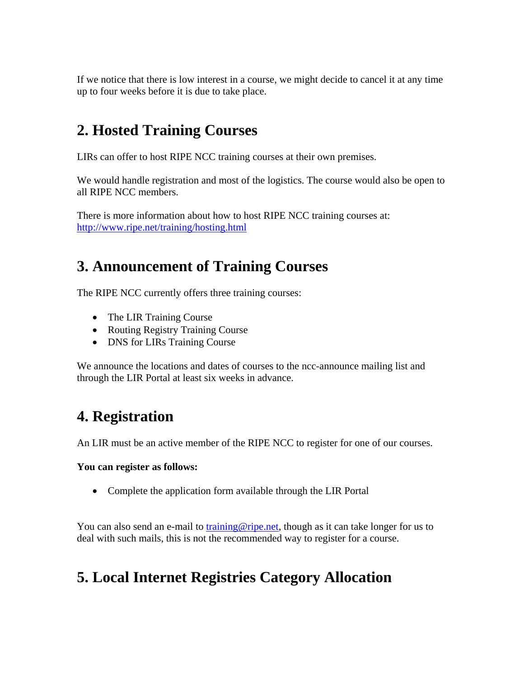If we notice that there is low interest in a course, we might decide to cancel it at any time up to four weeks before it is due to take place.

### **2. Hosted Training Courses**

LIRs can offer to host RIPE NCC training courses at their own premises.

We would handle registration and most of the logistics. The course would also be open to all RIPE NCC members.

There is more information about how to host RIPE NCC training courses at: <http://www.ripe.net/training/hosting.html>

### **3. Announcement of Training Courses**

The RIPE NCC currently offers three training courses:

- The LIR Training Course
- Routing Registry Training Course
- DNS for LIRs Training Course

We announce the locations and dates of courses to the ncc-announce mailing list and through the LIR Portal at least six weeks in advance.

#### **4. Registration**

An LIR must be an active member of the RIPE NCC to register for one of our courses.

#### **You can register as follows:**

• Complete the application form available through the LIR Portal

You can also send an e-mail to [training@ripe.net,](mailto:training@ripe.net) though as it can take longer for us to deal with such mails, this is not the recommended way to register for a course.

### **5. Local Internet Registries Category Allocation**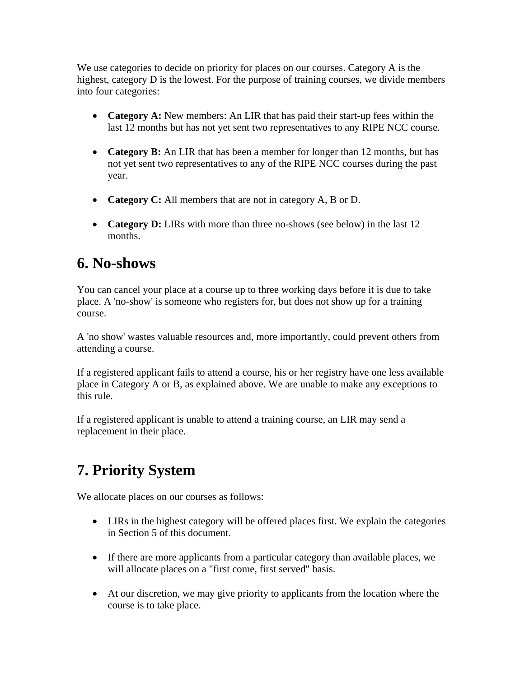We use categories to decide on priority for places on our courses. Category A is the highest, category D is the lowest. For the purpose of training courses, we divide members into four categories:

- **Category A:** New members: An LIR that has paid their start-up fees within the last 12 months but has not yet sent two representatives to any RIPE NCC course.
- **Category B:** An LIR that has been a member for longer than 12 months, but has not yet sent two representatives to any of the RIPE NCC courses during the past year.
- **Category C:** All members that are not in category A, B or D.
- **Category D:** LIRs with more than three no-shows (see below) in the last 12 months.

#### **6. No-shows**

You can cancel your place at a course up to three working days before it is due to take place. A 'no-show' is someone who registers for, but does not show up for a training course.

A 'no show' wastes valuable resources and, more importantly, could prevent others from attending a course.

If a registered applicant fails to attend a course, his or her registry have one less available place in Category A or B, as explained above. We are unable to make any exceptions to this rule.

If a registered applicant is unable to attend a training course, an LIR may send a replacement in their place.

## **7. Priority System**

We allocate places on our courses as follows:

- LIRs in the highest category will be offered places first. We explain the categories in Section 5 of this document.
- If there are more applicants from a particular category than available places, we will allocate places on a "first come, first served" basis.
- At our discretion, we may give priority to applicants from the location where the course is to take place.